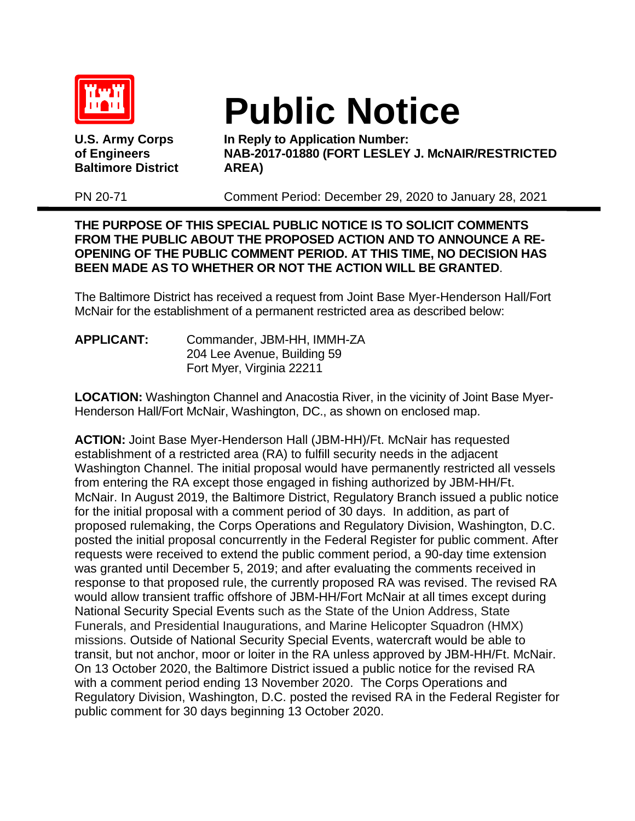

**Baltimore District AREA)**

## **Public Notice U.S. Army Corps In Reply to Application Number:**

**of Engineers NAB-2017-01880 (FORT LESLEY J. McNAIR/RESTRICTED**

PN 20-71 Comment Period: December 29, 2020 to January 28, 2021

## **THE PURPOSE OF THIS SPECIAL PUBLIC NOTICE IS TO SOLICIT COMMENTS FROM THE PUBLIC ABOUT THE PROPOSED ACTION AND TO ANNOUNCE A RE-OPENING OF THE PUBLIC COMMENT PERIOD. AT THIS TIME, NO DECISION HAS BEEN MADE AS TO WHETHER OR NOT THE ACTION WILL BE GRANTED**.

The Baltimore District has received a request from Joint Base Myer-Henderson Hall/Fort McNair for the establishment of a permanent restricted area as described below:

**APPLICANT:** Commander, JBM-HH, IMMH-ZA 204 Lee Avenue, Building 59 Fort Myer, Virginia 22211

**LOCATION:** Washington Channel and Anacostia River, in the vicinity of Joint Base Myer-Henderson Hall/Fort McNair, Washington, DC., as shown on enclosed map.

**ACTION:** Joint Base Myer-Henderson Hall (JBM-HH)/Ft. McNair has requested establishment of a restricted area (RA) to fulfill security needs in the adjacent Washington Channel. The initial proposal would have permanently restricted all vessels from entering the RA except those engaged in fishing authorized by JBM-HH/Ft. McNair. In August 2019, the Baltimore District, Regulatory Branch issued a public notice for the initial proposal with a comment period of 30 days. In addition, as part of proposed rulemaking, the Corps Operations and Regulatory Division, Washington, D.C. posted the initial proposal concurrently in the Federal Register for public comment. After requests were received to extend the public comment period, a 90-day time extension was granted until December 5, 2019; and after evaluating the comments received in response to that proposed rule, the currently proposed RA was revised. The revised RA would allow transient traffic offshore of JBM-HH/Fort McNair at all times except during National Security Special Events such as the State of the Union Address, State Funerals, and Presidential Inaugurations, and Marine Helicopter Squadron (HMX) missions. Outside of National Security Special Events, watercraft would be able to transit, but not anchor, moor or loiter in the RA unless approved by JBM-HH/Ft. McNair. On 13 October 2020, the Baltimore District issued a public notice for the revised RA with a comment period ending 13 November 2020. The Corps Operations and Regulatory Division, Washington, D.C. posted the revised RA in the Federal Register for public comment for 30 days beginning 13 October 2020.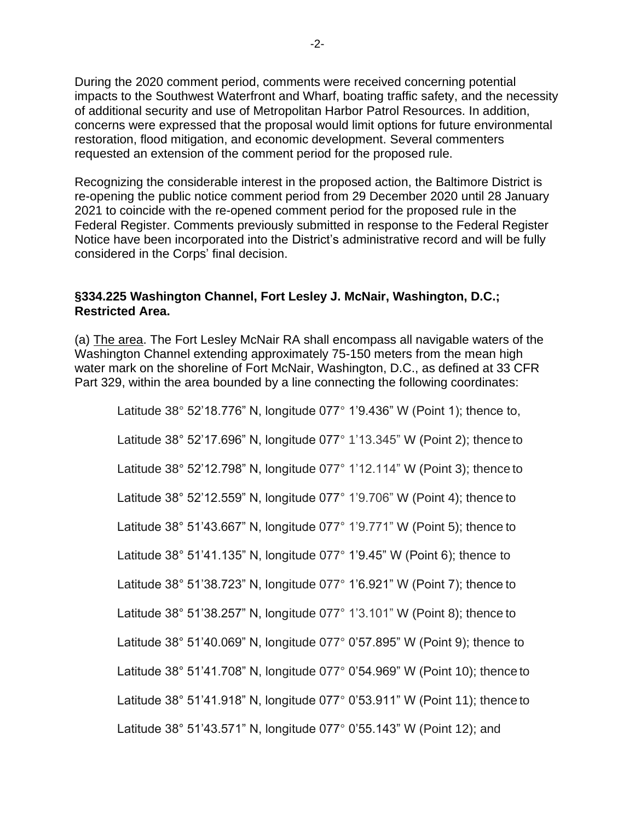During the 2020 comment period, comments were received concerning potential impacts to the Southwest Waterfront and Wharf, boating traffic safety, and the necessity of additional security and use of Metropolitan Harbor Patrol Resources. In addition, concerns were expressed that the proposal would limit options for future environmental restoration, flood mitigation, and economic development. Several commenters requested an extension of the comment period for the proposed rule.

Recognizing the considerable interest in the proposed action, the Baltimore District is re-opening the public notice comment period from 29 December 2020 until 28 January 2021 to coincide with the re-opened comment period for the proposed rule in the Federal Register. Comments previously submitted in response to the Federal Register Notice have been incorporated into the District's administrative record and will be fully considered in the Corps' final decision.

## **§334.225 Washington Channel, Fort Lesley J. McNair, Washington, D.C.; Restricted Area.**

(a) The area. The Fort Lesley McNair RA shall encompass all navigable waters of the Washington Channel extending approximately 75-150 meters from the mean high water mark on the shoreline of Fort McNair, Washington, D.C., as defined at 33 CFR Part 329, within the area bounded by a line connecting the following coordinates:

Latitude 38° 52'18.776" N, longitude 077° 1'9.436" W (Point 1); thence to, Latitude 38° 52'17.696" N, longitude 077° 1'13.345" W (Point 2); thence to Latitude 38° 52'12.798" N, longitude 077° 1'12.114" W (Point 3); thence to Latitude 38° 52'12.559" N, longitude 077° 1'9.706" W (Point 4); thence to Latitude 38° 51'43.667" N, longitude 077° 1'9.771" W (Point 5); thence to Latitude 38° 51'41.135" N, longitude 077° 1'9.45" W (Point 6); thence to Latitude 38° 51'38.723" N, longitude 077° 1'6.921" W (Point 7); thence to Latitude 38° 51'38.257" N, longitude 077° 1'3.101" W (Point 8); thence to Latitude 38° 51'40.069" N, longitude 077° 0'57.895" W (Point 9); thence to Latitude 38° 51'41.708" N, longitude 077° 0'54.969" W (Point 10); thence to Latitude 38° 51'41.918" N, longitude 077° 0'53.911" W (Point 11); thence to Latitude 38° 51'43.571" N, longitude 077° 0'55.143" W (Point 12); and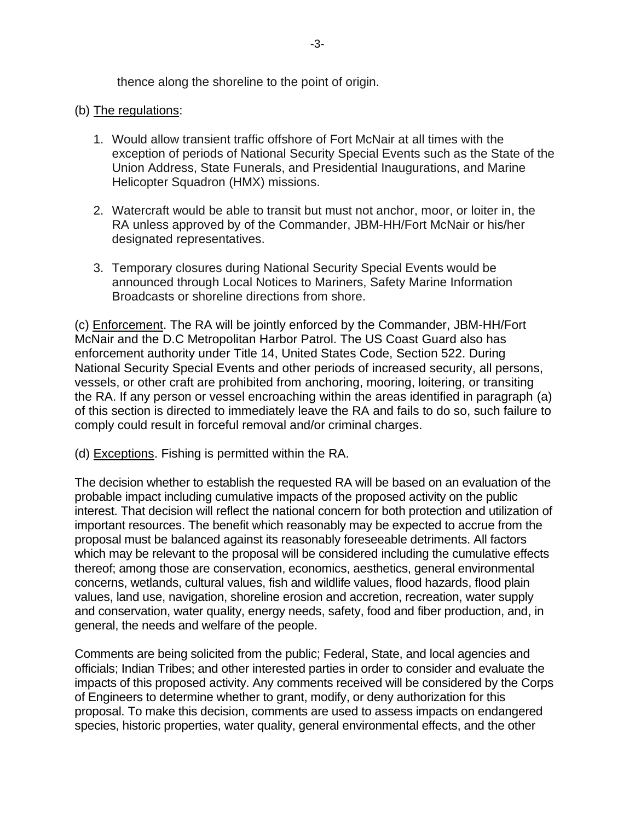thence along the shoreline to the point of origin.

## (b) The regulations:

- 1. Would allow transient traffic offshore of Fort McNair at all times with the exception of periods of National Security Special Events such as the State of the Union Address, State Funerals, and Presidential Inaugurations, and Marine Helicopter Squadron (HMX) missions.
- 2. Watercraft would be able to transit but must not anchor, moor, or loiter in, the RA unless approved by of the Commander, JBM-HH/Fort McNair or his/her designated representatives.
- 3. Temporary closures during National Security Special Events would be announced through Local Notices to Mariners, Safety Marine Information Broadcasts or shoreline directions from shore.

(c) Enforcement. The RA will be jointly enforced by the Commander, JBM-HH/Fort McNair and the D.C Metropolitan Harbor Patrol. The US Coast Guard also has enforcement authority under Title 14, United States Code, Section 522. During National Security Special Events and other periods of increased security, all persons, vessels, or other craft are prohibited from anchoring, mooring, loitering, or transiting the RA. If any person or vessel encroaching within the areas identified in paragraph (a) of this section is directed to immediately leave the RA and fails to do so, such failure to comply could result in forceful removal and/or criminal charges.

(d) Exceptions. Fishing is permitted within the RA.

The decision whether to establish the requested RA will be based on an evaluation of the probable impact including cumulative impacts of the proposed activity on the public interest. That decision will reflect the national concern for both protection and utilization of important resources. The benefit which reasonably may be expected to accrue from the proposal must be balanced against its reasonably foreseeable detriments. All factors which may be relevant to the proposal will be considered including the cumulative effects thereof; among those are conservation, economics, aesthetics, general environmental concerns, wetlands, cultural values, fish and wildlife values, flood hazards, flood plain values, land use, navigation, shoreline erosion and accretion, recreation, water supply and conservation, water quality, energy needs, safety, food and fiber production, and, in general, the needs and welfare of the people.

Comments are being solicited from the public; Federal, State, and local agencies and officials; Indian Tribes; and other interested parties in order to consider and evaluate the impacts of this proposed activity. Any comments received will be considered by the Corps of Engineers to determine whether to grant, modify, or deny authorization for this proposal. To make this decision, comments are used to assess impacts on endangered species, historic properties, water quality, general environmental effects, and the other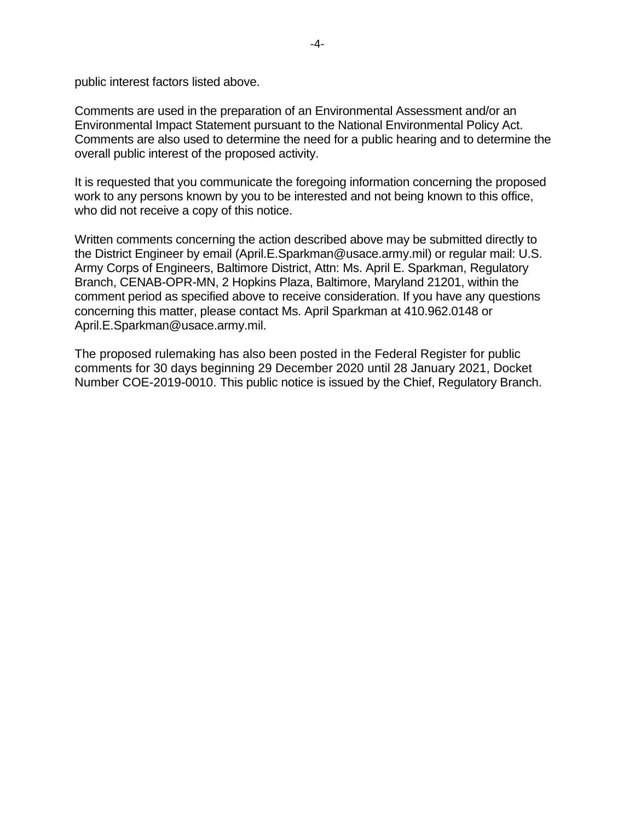public interest factors listed above.

Comments are used in the preparation of an Environmental Assessment and/or an Environmental Impact Statement pursuant to the National Environmental Policy Act. Comments are also used to determine the need for a public hearing and to determine the overall public interest of the proposed activity.

It is requested that you communicate the foregoing information concerning the proposed work to any persons known by you to be interested and not being known to this office, who did not receive a copy of this notice.

Written comments concerning the action described above may be submitted directly to the District Engineer by email (April.E.Sparkman@usace.army.mil) or regular mail: U.S. Army Corps of Engineers, Baltimore District, Attn: Ms. April E. Sparkman, Regulatory Branch, CENAB-OPR-MN, 2 Hopkins Plaza, Baltimore, Maryland 21201, within the comment period as specified above to receive consideration. If you have any questions concerning this matter, please contact Ms. April Sparkman at 410.962.0148 or April.E.Sparkman@usace.army.mil.

The proposed rulemaking has also been posted in the Federal Register for public comments for 30 days beginning 29 December 2020 until 28 January 2021, Docket Number COE-2019-0010. This public notice is issued by the Chief, Regulatory Branch.